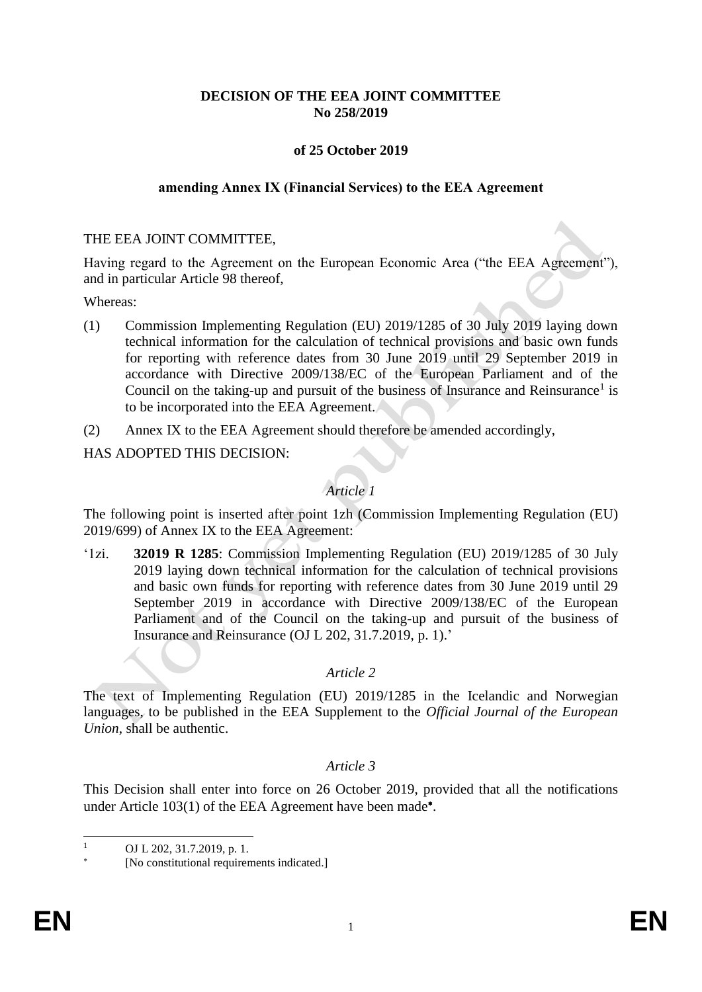# **DECISION OF THE EEA JOINT COMMITTEE No 258/2019**

## **of 25 October 2019**

#### **amending Annex IX (Financial Services) to the EEA Agreement**

### THE EEA JOINT COMMITTEE,

Having regard to the Agreement on the European Economic Area ("the EEA Agreement"), and in particular Article 98 thereof,

Whereas:

- (1) Commission Implementing Regulation (EU) 2019/1285 of 30 July 2019 laying down technical information for the calculation of technical provisions and basic own funds for reporting with reference dates from 30 June 2019 until 29 September 2019 in accordance with Directive 2009/138/EC of the European Parliament and of the Council on the taking-up and pursuit of the business of Insurance and Reinsurance<sup>1</sup> is to be incorporated into the EEA Agreement.
- (2) Annex IX to the EEA Agreement should therefore be amended accordingly,

HAS ADOPTED THIS DECISION:

# *Article 1*

The following point is inserted after point 1zh (Commission Implementing Regulation (EU) 2019/699) of Annex IX to the EEA Agreement:

'1zi. **32019 R 1285**: Commission Implementing Regulation (EU) 2019/1285 of 30 July 2019 laying down technical information for the calculation of technical provisions and basic own funds for reporting with reference dates from 30 June 2019 until 29 September 2019 in accordance with Directive 2009/138/EC of the European Parliament and of the Council on the taking-up and pursuit of the business of Insurance and Reinsurance (OJ L 202, 31.7.2019, p. 1).'

## *Article 2*

The text of Implementing Regulation (EU) 2019/1285 in the Icelandic and Norwegian languages, to be published in the EEA Supplement to the *Official Journal of the European Union*, shall be authentic.

## *Article 3*

This Decision shall enter into force on 26 October 2019, provided that all the notifications under Article 103(1) of the EEA Agreement have been made\*.

 $\bar{1}$ OJ L 202, 31.7.2019, p. 1.

<sup>×</sup> [No constitutional requirements indicated.]